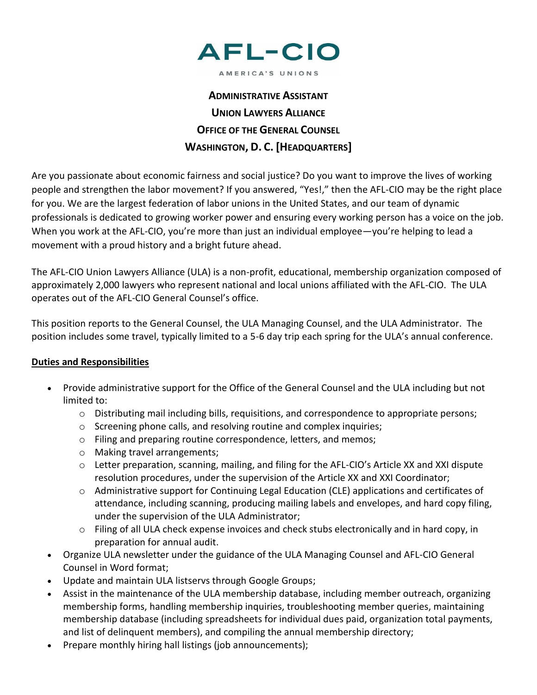

AMERICA'S UNIONS

## **ADMINISTRATIVE ASSISTANT UNION LAWYERS ALLIANCE OFFICE OF THE GENERAL COUNSEL WASHINGTON, D. C. [HEADQUARTERS]**

Are you passionate about economic fairness and social justice? Do you want to improve the lives of working people and strengthen the labor movement? If you answered, "Yes!," then the AFL-CIO may be the right place for you. We are the largest federation of labor unions in the United States, and our team of dynamic professionals is dedicated to growing worker power and ensuring every working person has a voice on the job. When you work at the AFL-CIO, you're more than just an individual employee—you're helping to lead a movement with a proud history and a bright future ahead.

The AFL-CIO Union Lawyers Alliance (ULA) is a non-profit, educational, membership organization composed of approximately 2,000 lawyers who represent national and local unions affiliated with the AFL-CIO. The ULA operates out of the AFL-CIO General Counsel's office.

This position reports to the General Counsel, the ULA Managing Counsel, and the ULA Administrator. The position includes some travel, typically limited to a 5-6 day trip each spring for the ULA's annual conference.

## **Duties and Responsibilities**

- Provide administrative support for the Office of the General Counsel and the ULA including but not limited to:
	- $\circ$  Distributing mail including bills, requisitions, and correspondence to appropriate persons;
	- o Screening phone calls, and resolving routine and complex inquiries;
	- o Filing and preparing routine correspondence, letters, and memos;
	- o Making travel arrangements;
	- $\circ$  Letter preparation, scanning, mailing, and filing for the AFL-CIO's Article XX and XXI dispute resolution procedures, under the supervision of the Article XX and XXI Coordinator;
	- $\circ$  Administrative support for Continuing Legal Education (CLE) applications and certificates of attendance, including scanning, producing mailing labels and envelopes, and hard copy filing, under the supervision of the ULA Administrator;
	- o Filing of all ULA check expense invoices and check stubs electronically and in hard copy, in preparation for annual audit.
- Organize ULA newsletter under the guidance of the ULA Managing Counsel and AFL-CIO General Counsel in Word format;
- Update and maintain ULA listservs through Google Groups;
- Assist in the maintenance of the ULA membership database, including member outreach, organizing membership forms, handling membership inquiries, troubleshooting member queries, maintaining membership database (including spreadsheets for individual dues paid, organization total payments, and list of delinquent members), and compiling the annual membership directory;
- Prepare monthly hiring hall listings (job announcements);